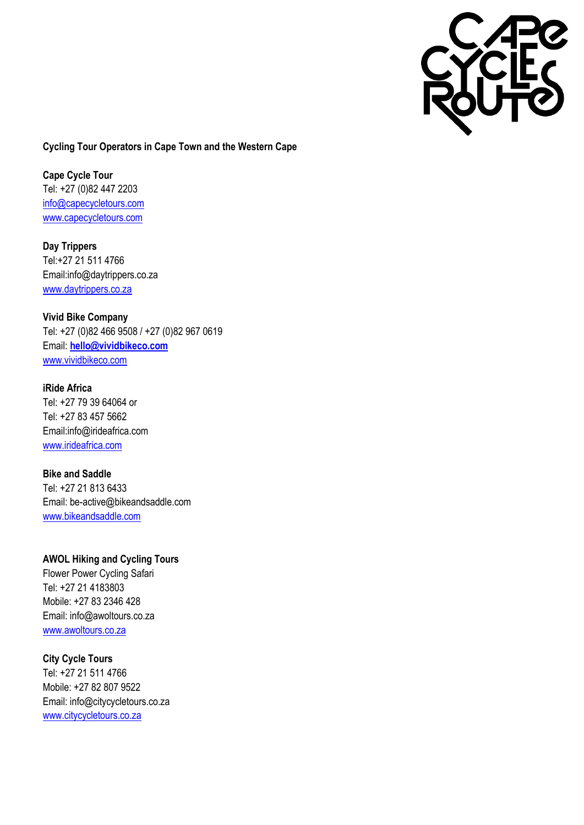

## **Cycling Tour Operators in Cape Town and the Western Cape**

**Cape Cycle Tour** Tel: +27 (0)82 447 2203 [info@capecycletours.com](mailto:info@capecycletours.com) [www.capecycletours.com](http://www.capecycletours.com/)

**Day Trippers** Tel:+27 21 511 4766 Email:info@daytrippers.co.za [www.daytrippers.co.za](http://www.daytrippers.co.za/)

**Vivid Bike Company**  Tel: +27 (0)82 466 9508 / +27 (0)82 967 0619 Email: **[hello@vividbikeco.com](mailto:hello@vividbikeco.com)** [www.vividbikeco.com](http://www.vividbikeco.com/)

**iRide Africa** Tel: +27 79 39 64064 or Tel: +27 83 457 5662 Email:info@irideafrica.com [www.irideafrica.com](http://www.irideafrica.com/)

**Bike and Saddle** Tel: +27 21 813 6433 Email: be-active@bikeandsaddle.com [www.bikeandsaddle.com](http://www.bikeandsaddle.com/)

**AWOL Hiking and Cycling Tours** Flower Power Cycling Safari Tel: +27 21 4183803 Mobile: +27 83 2346 428 Email: info@awoltours.co.za [www.awoltours.co.za](http://www.awoltours.co.za/)

**City Cycle Tours** Tel: +27 21 511 4766 Mobile: +27 82 807 9522 Email: info@citycycletours.co.za [www.citycycletours.co.za](http://www.citycycletours.co.za/)